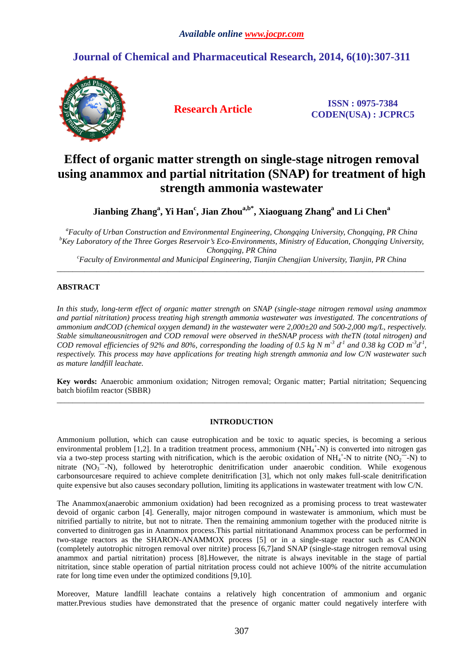## **Journal of Chemical and Pharmaceutical Research, 2014, 6(10):307-311**



**Research Article ISSN : 0975-7384 CODEN(USA) : JCPRC5**

# **Effect of organic matter strength on single-stage nitrogen removal using anammox and partial nitritation (SNAP) for treatment of high strength ammonia wastewater**

**Jianbing Zhang<sup>a</sup> , Yi Han<sup>c</sup> , Jian Zhoua,b\*, Xiaoguang Zhang<sup>a</sup> and Li Chen<sup>a</sup>**

*<sup>a</sup>Faculty of Urban Construction and Environmental Engineering, Chongqing University, Chongqing, PR China <sup>b</sup>Key Laboratory of the Three Gorges Reservoir's Eco-Environments, Ministry of Education, Chongqing University, Chongqing, PR China* 

*<sup>c</sup>Faculty of Environmental and Municipal Engineering, Tianjin Chengjian University, Tianjin, PR China*  \_\_\_\_\_\_\_\_\_\_\_\_\_\_\_\_\_\_\_\_\_\_\_\_\_\_\_\_\_\_\_\_\_\_\_\_\_\_\_\_\_\_\_\_\_\_\_\_\_\_\_\_\_\_\_\_\_\_\_\_\_\_\_\_\_\_\_\_\_\_\_\_\_\_\_\_\_\_\_\_\_\_\_\_\_\_\_\_\_\_\_\_\_

## **ABSTRACT**

*In this study, long-term effect of organic matter strength on SNAP (single-stage nitrogen removal using anammox and partial nitritation) process treating high strength ammonia wastewater was investigated. The concentrations of ammonium andCOD (chemical oxygen demand) in the wastewater were 2,000±20 and 500-2,000 mg/L, respectively. Stable simultaneousnitrogen and COD removal were observed in theSNAP process with theTN (total nitrogen) and COD removal efficiencies of 92% and 80%, corresponding the loading of 0.5 kg N m<sup>-3</sup>*  $d^1$  *and 0.38 kg COD m<sup>-3</sup>* $d^1$ *, respectively. This process may have applications for treating high strength ammonia and low C/N wastewater such as mature landfill leachate.* 

**Key words:** Anaerobic ammonium oxidation; Nitrogen removal; Organic matter; Partial nitritation; Sequencing batch biofilm reactor (SBBR) \_\_\_\_\_\_\_\_\_\_\_\_\_\_\_\_\_\_\_\_\_\_\_\_\_\_\_\_\_\_\_\_\_\_\_\_\_\_\_\_\_\_\_\_\_\_\_\_\_\_\_\_\_\_\_\_\_\_\_\_\_\_\_\_\_\_\_\_\_\_\_\_\_\_\_\_\_\_\_\_\_\_\_\_\_\_\_\_\_\_\_\_\_

### **INTRODUCTION**

Ammonium pollution, which can cause eutrophication and be toxic to aquatic species, is becoming a serious environmental problem [1,2]. In a tradition treatment process, ammonium  $(NH_4^+N)$  is converted into nitrogen gas via a two-step process starting with nitrification, which is the aerobic oxidation of  $NH_4^+$ -N to nitrite  $(NO_2^{\circ-}N)$  to nitrate  $(NO<sub>3</sub><sup>-1</sup>N)$ , followed by heterotrophic denitrification under anaerobic condition. While exogenous carbonsourcesare required to achieve complete denitrification [3], which not only makes full-scale denitrification quite expensive but also causes secondary pollution, limiting its applications in wastewater treatment with low C/N.

The Anammox(anaerobic ammonium oxidation) had been recognized as a promising process to treat wastewater devoid of organic carbon [4]. Generally, major nitrogen compound in wastewater is ammonium, which must be nitrified partially to nitrite, but not to nitrate. Then the remaining ammonium together with the produced nitrite is converted to dinitrogen gas in Anammox process.This partial nitritationand Anammox process can be performed in two-stage reactors as the SHARON-ANAMMOX process [5] or in a single-stage reactor such as CANON (completely autotrophic nitrogen removal over nitrite) process [6,7]and SNAP (single-stage nitrogen removal using anammox and partial nitritation) process [8].However, the nitrate is always inevitable in the stage of partial nitritation, since stable operation of partial nitritation process could not achieve 100% of the nitrite accumulation rate for long time even under the optimized conditions [9,10].

Moreover, Mature landfill leachate contains a relatively high concentration of ammonium and organic matter.Previous studies have demonstrated that the presence of organic matter could negatively interfere with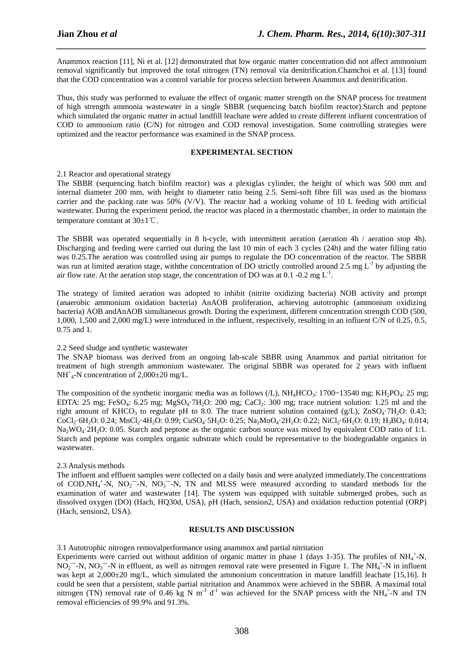Anammox reaction [11], Ni et al. [12] demonstrated that low organic matter concentration did not affect ammonium removal significantly but improved the total nitrogen (TN) removal via denitrification.Chamchoi et al. [13] found that the COD concentration was a control variable for process selection between Anammox and denitrification.

*\_\_\_\_\_\_\_\_\_\_\_\_\_\_\_\_\_\_\_\_\_\_\_\_\_\_\_\_\_\_\_\_\_\_\_\_\_\_\_\_\_\_\_\_\_\_\_\_\_\_\_\_\_\_\_\_\_\_\_\_\_\_\_\_\_\_\_\_\_\_\_\_\_\_\_\_\_\_*

Thus, this study was performed to evaluate the effect of organic matter strength on the SNAP process for treatment of high strength ammonia wastewater in a single SBBR (sequencing batch biofilm reactor).Starch and peptone which simulated the organic matter in actual landfill leachate were added to create different influent concentration of COD to ammonium ratio (C/N) for nitrogen and COD removal investigation. Some controlling strategies were optimized and the reactor performance was examined in the SNAP process.

#### **EXPERIMENTAL SECTION**

#### 2.1 Reactor and operational strategy

The SBBR (sequencing batch biofilm reactor) was a plexiglas cylinder, the height of which was 500 mm and internal diameter 200 mm, with height to diameter ratio being 2.5. Semi-soft fibre fill was used as the biomass carrier and the packing rate was 50% (V/V). The reactor had a working volume of 10 L feeding with artificial wastewater. During the experiment period, the reactor was placed in a thermostatic chamber, in order to maintain the temperature constant at 30±1℃.

The SBBR was operated sequentially in 8 h-cycle, with intermittent aeration (aeration 4h / aeration stop 4h). Discharging and feeding were carried out during the last 10 min of each 3 cycles (24h) and the water filling ratio was 0.25.The aeration was controlled using air pumps to regulate the DO concentration of the reactor. The SBBR was run at limited aeration stage, with the concentration of DO strictly controlled around 2.5 mg  $L^{-1}$  by adjusting the air flow rate. At the aeration stop stage, the concentration of DO was at 0.1 -0.2 mg  $L^{-1}$ .

The strategy of limited aeration was adopted to inhibit (nitrite oxidizing bacteria) NOB activity and prompt (anaerobic ammonium oxidation bacteria) AnAOB proliferation, achieving autotrophic (ammonium oxidizing bacteria) AOB andAnAOB simultaneous growth. During the experiment, different concentration strength COD (500, 1,000, 1,500 and 2,000 mg/L) were introduced in the influent, respectively, resulting in an influent C/N of 0.25, 0.5, 0.75 and 1.

#### 2.2 Seed sludge and synthetic wastewater

The SNAP biomass was derived from an ongoing lab-scale SBBR using Anammox and partial nitritation for treatment of high strength ammonium wastewater. The original SBBR was operated for 2 years with influent NH<sup>+</sup><sub>4</sub>-N concentration of 2,000±20 mg/L.

The composition of the synthetic inorganic media was as follows  $(L)$ , NH<sub>4</sub>HCO<sub>3</sub>: 1700~13540 mg; KH<sub>2</sub>PO<sub>4</sub>: 25 mg; EDTA:  $25 \text{ mg}$ ; FeSO<sub>4</sub>:  $6.25 \text{ mg}$ ; MgSO<sub>4</sub>·7H<sub>2</sub>O: 200 mg; CaCl<sub>2</sub>: 300 mg; trace nutrient solution: 1.25 ml and the right amount of KHCO<sub>3</sub> to regulate pH to 8.0. The trace nutrient solution contained (g/L), ZnSO<sub>4</sub>·7H<sub>2</sub>O: 0.43; CoCl<sub>2</sub>·6H<sub>2</sub>O: 0.24; MnCl<sub>2</sub>·4H<sub>2</sub>O: 0.99; CuSO<sub>4</sub>·5H<sub>2</sub>O: 0.25; Na<sub>2</sub>MoO<sub>4</sub>·2H<sub>2</sub>O: 0.22; NiCl<sub>2</sub>·6H<sub>2</sub>O: 0.19; H<sub>3</sub>BO<sub>4</sub>: 0.014;  $Na_2WO_4.2H_2O$ : 0.05. Starch and peptone as the organic carbon source was mixed by equivalent COD ratio of 1:1. Starch and peptone was complex organic substrate which could be representative to the biodegradable organics in wastewater.

#### 2.3 Analysis methods

The influent and effluent samples were collected on a daily basis and were analyzed immediately.The concentrations of COD, NH<sub>4</sub><sup>+</sup>-N, NO<sub>2</sub><sup>-</sup>-N, NO<sub>3</sub><sup>-</sup>-N, TN and MLSS were measured according to standard methods for the examination of water and wastewater [14]. The system was equipped with suitable submerged probes, such as dissolved oxygen (DO) (Hach, HQ30d, USA), pH (Hach, sension2, USA) and oxidation reduction potential (ORP) (Hach, sension2, USA).

#### **RESULTS AND DISCUSSION**

3.1 Autotrophic nitrogen removalperformance using anammox and partial nitritation

Experiments were carried out without addition of organic matter in phase 1 (days 1-35). The profiles of  $NH_4^+$ -N,  $NO_2$ <sup>-</sup>-N,  $NO_3$ <sup>-</sup>-N in effluent, as well as nitrogen removal rate were presented in Figure 1. The NH<sub>4</sub><sup>+</sup>-N in influent was kept at 2,000±20 mg/L, which simulated the ammonium concentration in mature landfill leachate [15,16]. It could be seen that a persistent, stable partial nitritation and Anammox were achieved in the SBBR. A maximal total nitrogen (TN) removal rate of 0.46 kg N m<sup>-3</sup> d<sup>-1</sup> was achieved for the SNAP process with the NH<sub>4</sub><sup>+</sup>-N and TN removal efficiencies of 99.9% and 91.3%.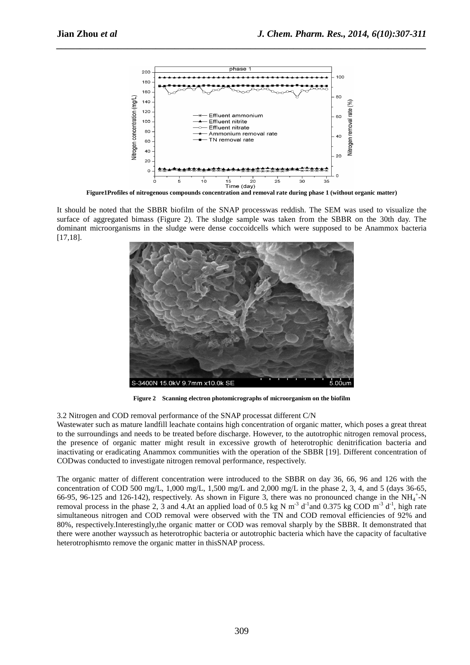

*\_\_\_\_\_\_\_\_\_\_\_\_\_\_\_\_\_\_\_\_\_\_\_\_\_\_\_\_\_\_\_\_\_\_\_\_\_\_\_\_\_\_\_\_\_\_\_\_\_\_\_\_\_\_\_\_\_\_\_\_\_\_\_\_\_\_\_\_\_\_\_\_\_\_\_\_\_\_*

**Figure1Profiles of nitrogenous compounds concentration and removal rate during phase 1 (without organic matter)** 

It should be noted that the SBBR biofilm of the SNAP processwas reddish. The SEM was used to visualize the surface of aggregated bimass (Figure 2). The sludge sample was taken from the SBBR on the 30th day. The dominant microorganisms in the sludge were dense coccoidcells which were supposed to be Anammox bacteria [17,18].



**Figure 2 Scanning electron photomicrographs of microorganism on the biofilm** 

3.2 Nitrogen and COD removal performance of the SNAP processat different C/N

Wastewater such as mature landfill leachate contains high concentration of organic matter, which poses a great threat to the surroundings and needs to be treated before discharge. However, to the autotrophic nitrogen removal process, the presence of organic matter might result in excessive growth of heterotrophic denitrification bacteria and inactivating or eradicating Anammox communities with the operation of the SBBR [19]. Different concentration of CODwas conducted to investigate nitrogen removal performance, respectively.

The organic matter of different concentration were introduced to the SBBR on day 36, 66, 96 and 126 with the concentration of COD 500 mg/L,  $1,000$  mg/L,  $1,500$  mg/L and  $2,000$  mg/L in the phase 2, 3, 4, and 5 (days 36-65, 66-95, 96-125 and 126-142), respectively. As shown in Figure 3, there was no pronounced change in the  $NH_4^+$ -N removal process in the phase 2, 3 and 4.At an applied load of 0.5 kg N m<sup>-3</sup> d<sup>-1</sup> and 0.375 kg COD m<sup>-3</sup> d<sup>-1</sup>, high rate simultaneous nitrogen and COD removal were observed with the TN and COD removal efficiencies of 92% and 80%, respectively.Interestingly,the organic matter or COD was removal sharply by the SBBR. It demonstrated that there were another wayssuch as heterotrophic bacteria or autotrophic bacteria which have the capacity of facultative heterotrophismto remove the organic matter in thisSNAP process.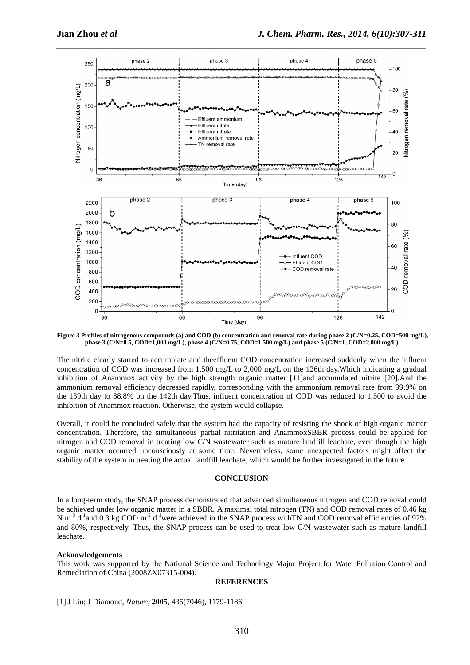

**Figure 3 Profiles of nitrogenous compounds (a) and COD (b) concentration and removal rate during phase 2 (C/N=0.25, COD=500 mg/L), phase 3 (C/N=0.5, COD=1,000 mg/L), phase 4 (C/N=0.75, COD=1,500 mg/L) and phase 5 (C/N=1, COD=2,000 mg/L)** 

The nitrite clearly started to accumulate and theeffluent COD concentration increased suddenly when the influent concentration of COD was increased from 1,500 mg/L to 2,000 mg/L on the 126th day.Which indicating a gradual inhibition of Anammox activity by the high strength organic matter [11]and accumulated nitrite [20].And the ammonium removal efficiency decreased rapidly, corresponding with the ammonium removal rate from 99.9% on the 139th day to 88.8% on the 142th day.Thus, influent concentration of COD was reduced to 1,500 to avoid the inhibition of Anammox reaction. Otherwise, the system would collapse.

Overall, it could be concluded safely that the system had the capacity of resisting the shock of high organic matter concentration. Therefore, the simultaneous partial nitritation and AnammoxSBBR process could be applied for nitrogen and COD removal in treating low C/N wastewater such as mature landfill leachate, even though the high organic matter occurred unconsciously at some time. Nevertheless, some unexpected factors might affect the stability of the system in treating the actual landfill leachate, which would be further investigated in the future.

#### **CONCLUSION**

In a long-term study, the SNAP process demonstrated that advanced simultaneous nitrogen and COD removal could be achieved under low organic matter in a SBBR. A maximal total nitrogen (TN) and COD removal rates of 0.46 kg N m<sup>-3</sup> d<sup>-1</sup>and 0.3 kg COD m<sup>-3</sup> d<sup>-1</sup>were achieved in the SNAP process with TN and COD removal efficiencies of 92% and 80%, respectively. Thus, the SNAP process can be used to treat low C/N wastewater such as mature landfill leachate.

#### **Acknowledgements**

This work was supported by the National Science and Technology Major Project for Water Pollution Control and Remediation of China (2008ZX07315-004).

#### **REFERENCES**

[1]J Liu; J Diamond, *Nature*, **2005**, 435(7046), 1179-1186.